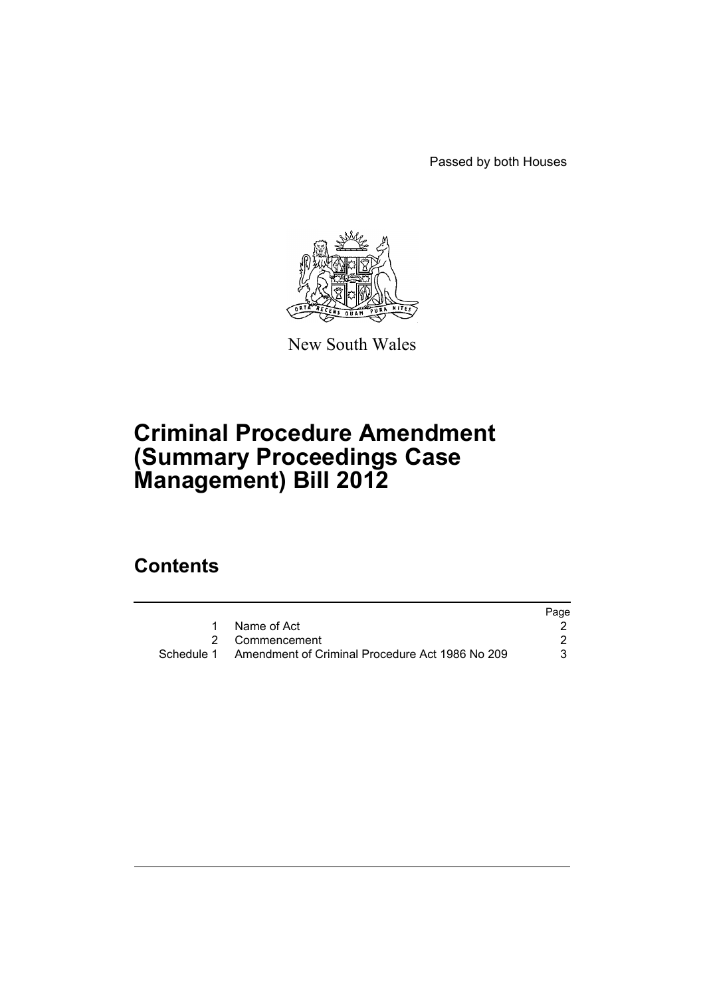Passed by both Houses



New South Wales

# **Criminal Procedure Amendment (Summary Proceedings Case Management) Bill 2012**

## **Contents**

|                                                            | Page |
|------------------------------------------------------------|------|
| 1 Name of Act                                              |      |
| 2 Commencement                                             |      |
| Schedule 1 Amendment of Criminal Procedure Act 1986 No 209 |      |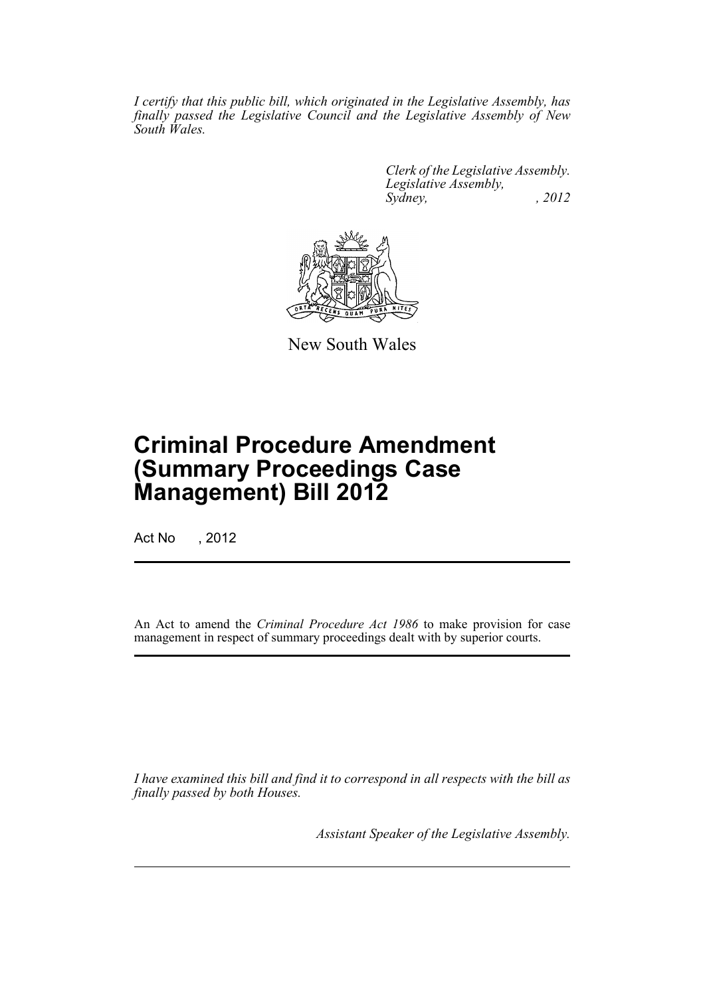*I certify that this public bill, which originated in the Legislative Assembly, has finally passed the Legislative Council and the Legislative Assembly of New South Wales.*

> *Clerk of the Legislative Assembly. Legislative Assembly, Sydney, , 2012*



New South Wales

# **Criminal Procedure Amendment (Summary Proceedings Case Management) Bill 2012**

Act No , 2012

An Act to amend the *Criminal Procedure Act 1986* to make provision for case management in respect of summary proceedings dealt with by superior courts.

*I have examined this bill and find it to correspond in all respects with the bill as finally passed by both Houses.*

*Assistant Speaker of the Legislative Assembly.*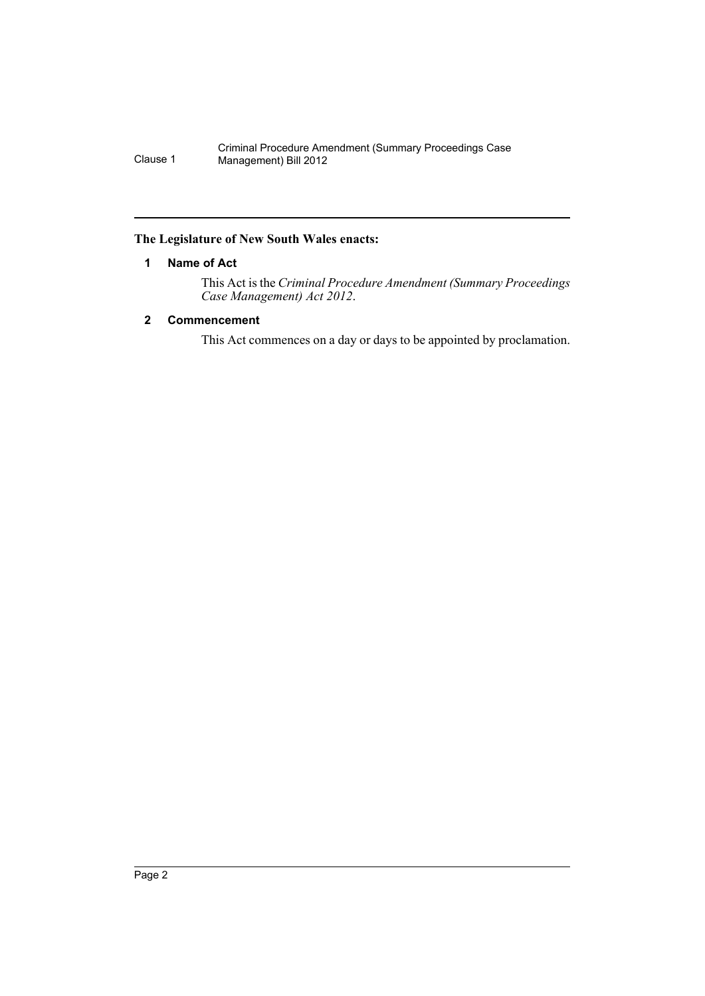## <span id="page-2-0"></span>**The Legislature of New South Wales enacts:**

## **1 Name of Act**

This Act is the *Criminal Procedure Amendment (Summary Proceedings Case Management) Act 2012*.

## <span id="page-2-1"></span>**2 Commencement**

This Act commences on a day or days to be appointed by proclamation.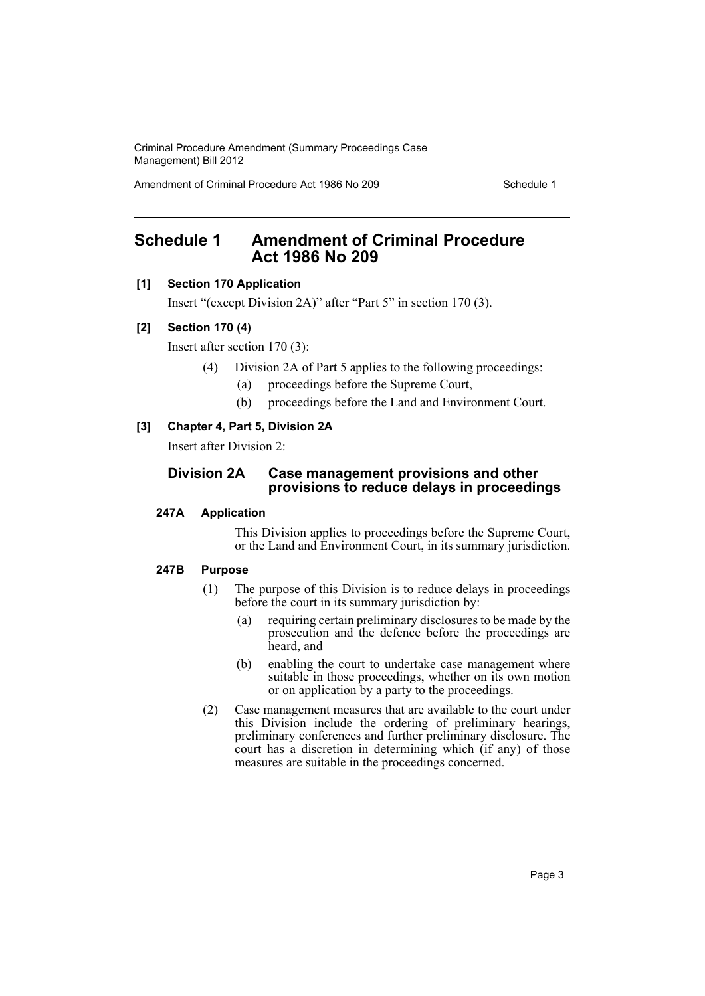Amendment of Criminal Procedure Act 1986 No 209

## <span id="page-3-0"></span>**Schedule 1 Amendment of Criminal Procedure Act 1986 No 209**

## **[1] Section 170 Application**

Insert "(except Division 2A)" after "Part 5" in section 170 (3).

## **[2] Section 170 (4)**

Insert after section 170 (3):

- (4) Division 2A of Part 5 applies to the following proceedings:
	- (a) proceedings before the Supreme Court,
	- (b) proceedings before the Land and Environment Court.

## **[3] Chapter 4, Part 5, Division 2A**

Insert after Division 2:

## **Division 2A Case management provisions and other provisions to reduce delays in proceedings**

## **247A Application**

This Division applies to proceedings before the Supreme Court, or the Land and Environment Court, in its summary jurisdiction.

## **247B Purpose**

- (1) The purpose of this Division is to reduce delays in proceedings before the court in its summary jurisdiction by:
	- (a) requiring certain preliminary disclosures to be made by the prosecution and the defence before the proceedings are heard, and
	- (b) enabling the court to undertake case management where suitable in those proceedings, whether on its own motion or on application by a party to the proceedings.
- (2) Case management measures that are available to the court under this Division include the ordering of preliminary hearings, preliminary conferences and further preliminary disclosure. The court has a discretion in determining which (if any) of those measures are suitable in the proceedings concerned.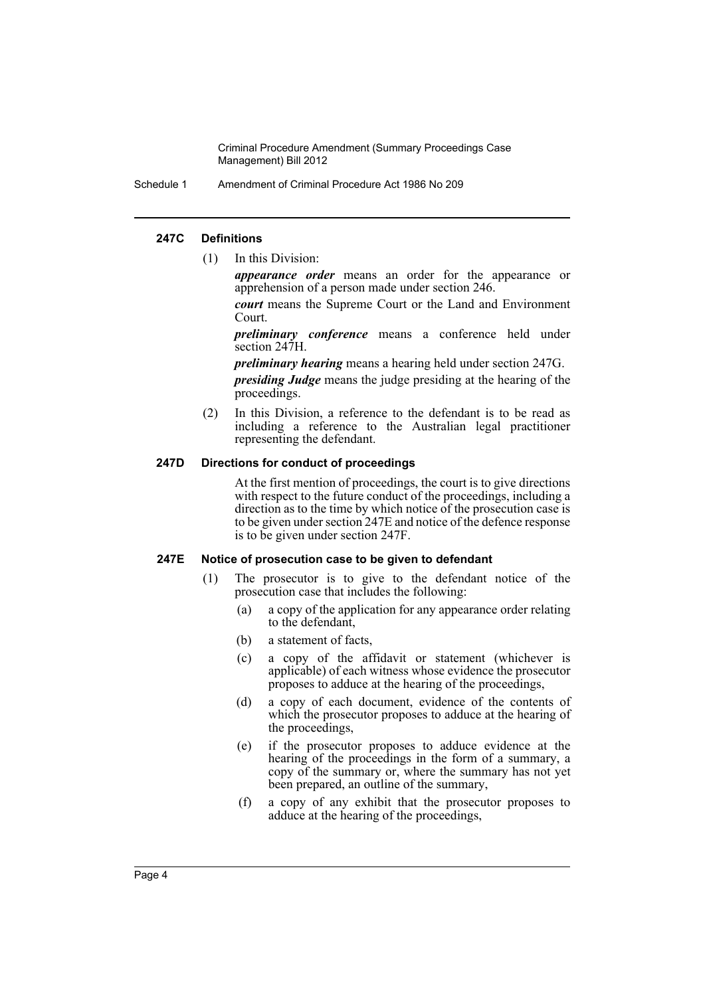Schedule 1 Amendment of Criminal Procedure Act 1986 No 209

### **247C Definitions**

(1) In this Division:

*appearance order* means an order for the appearance or apprehension of a person made under section 246.

*court* means the Supreme Court or the Land and Environment Court.

*preliminary conference* means a conference held under section 247H.

*preliminary hearing* means a hearing held under section 247G.

*presiding Judge* means the judge presiding at the hearing of the proceedings.

(2) In this Division, a reference to the defendant is to be read as including a reference to the Australian legal practitioner representing the defendant.

### **247D Directions for conduct of proceedings**

At the first mention of proceedings, the court is to give directions with respect to the future conduct of the proceedings, including a direction as to the time by which notice of the prosecution case is to be given under section 247E and notice of the defence response is to be given under section 247F.

#### **247E Notice of prosecution case to be given to defendant**

- (1) The prosecutor is to give to the defendant notice of the prosecution case that includes the following:
	- (a) a copy of the application for any appearance order relating to the defendant,
	- (b) a statement of facts,
	- (c) a copy of the affidavit or statement (whichever is applicable) of each witness whose evidence the prosecutor proposes to adduce at the hearing of the proceedings,
	- (d) a copy of each document, evidence of the contents of which the prosecutor proposes to adduce at the hearing of the proceedings,
	- (e) if the prosecutor proposes to adduce evidence at the hearing of the proceedings in the form of a summary, a copy of the summary or, where the summary has not yet been prepared, an outline of the summary,
	- (f) a copy of any exhibit that the prosecutor proposes to adduce at the hearing of the proceedings,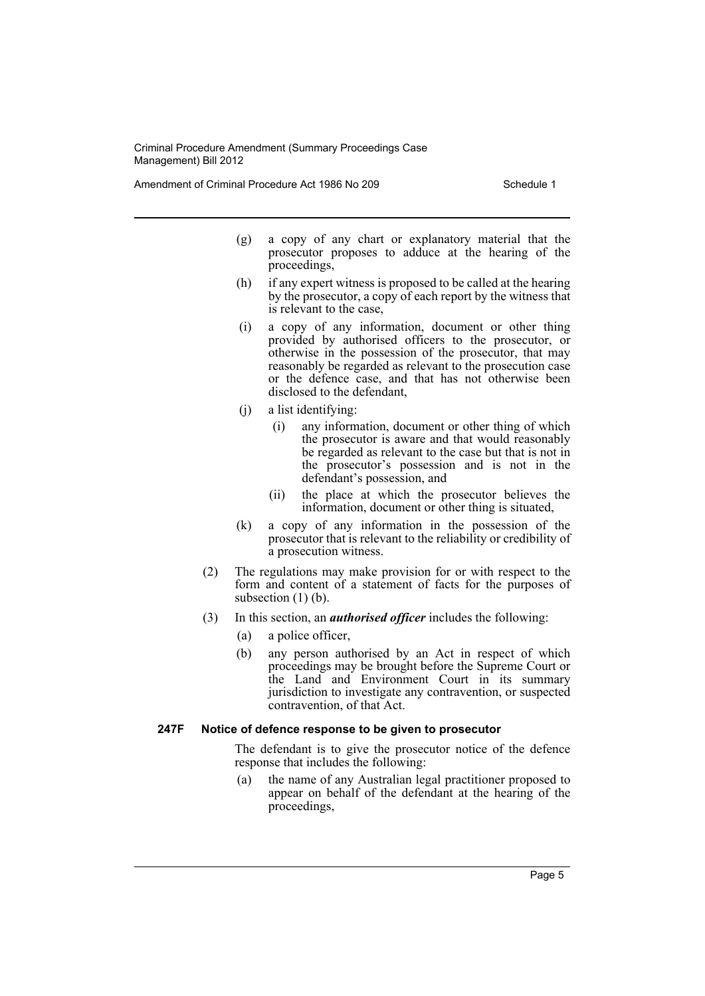Amendment of Criminal Procedure Act 1986 No 209 Schedule 1

- (g) a copy of any chart or explanatory material that the prosecutor proposes to adduce at the hearing of the proceedings,
- (h) if any expert witness is proposed to be called at the hearing by the prosecutor, a copy of each report by the witness that is relevant to the case,
- (i) a copy of any information, document or other thing provided by authorised officers to the prosecutor, or otherwise in the possession of the prosecutor, that may reasonably be regarded as relevant to the prosecution case or the defence case, and that has not otherwise been disclosed to the defendant,
- (j) a list identifying:
	- (i) any information, document or other thing of which the prosecutor is aware and that would reasonably be regarded as relevant to the case but that is not in the prosecutor's possession and is not in the defendant's possession, and
	- (ii) the place at which the prosecutor believes the information, document or other thing is situated,
- (k) a copy of any information in the possession of the prosecutor that is relevant to the reliability or credibility of a prosecution witness.
- (2) The regulations may make provision for or with respect to the form and content of a statement of facts for the purposes of subsection  $(1)$  (b).
- (3) In this section, an *authorised officer* includes the following:
	- (a) a police officer,
	- (b) any person authorised by an Act in respect of which proceedings may be brought before the Supreme Court or the Land and Environment Court in its summary jurisdiction to investigate any contravention, or suspected contravention, of that Act.

## **247F Notice of defence response to be given to prosecutor**

The defendant is to give the prosecutor notice of the defence response that includes the following:

(a) the name of any Australian legal practitioner proposed to appear on behalf of the defendant at the hearing of the proceedings,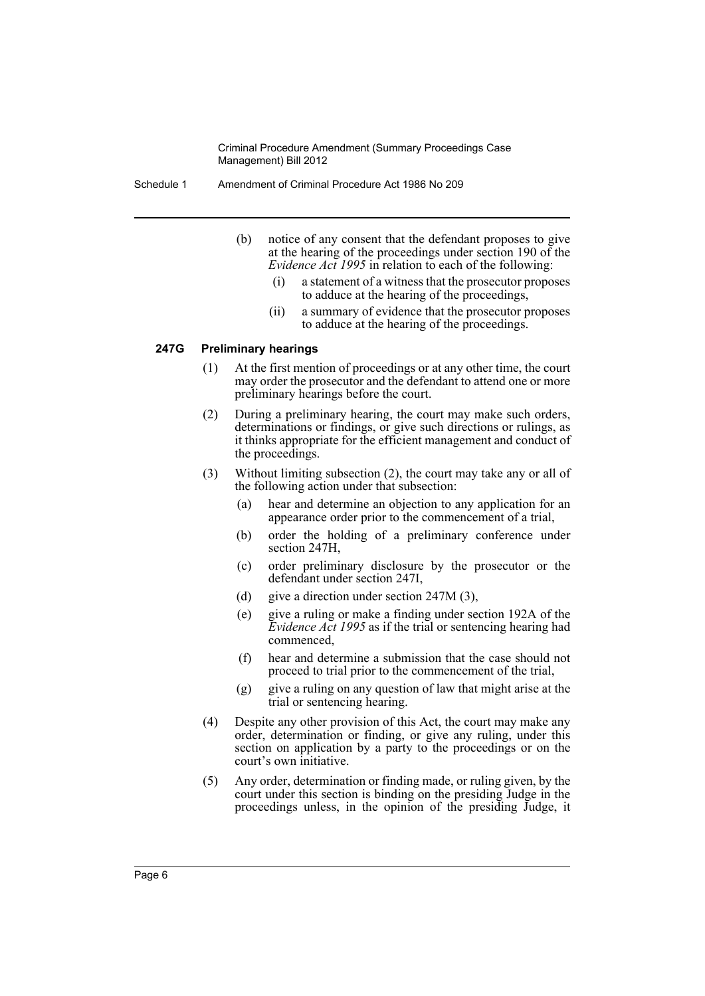Schedule 1 Amendment of Criminal Procedure Act 1986 No 209

- (b) notice of any consent that the defendant proposes to give at the hearing of the proceedings under section 190 of the *Evidence Act 1995* in relation to each of the following:
	- (i) a statement of a witness that the prosecutor proposes to adduce at the hearing of the proceedings,
	- (ii) a summary of evidence that the prosecutor proposes to adduce at the hearing of the proceedings.

#### **247G Preliminary hearings**

- (1) At the first mention of proceedings or at any other time, the court may order the prosecutor and the defendant to attend one or more preliminary hearings before the court.
- (2) During a preliminary hearing, the court may make such orders, determinations or findings, or give such directions or rulings, as it thinks appropriate for the efficient management and conduct of the proceedings.
- (3) Without limiting subsection (2), the court may take any or all of the following action under that subsection:
	- (a) hear and determine an objection to any application for an appearance order prior to the commencement of a trial,
	- (b) order the holding of a preliminary conference under section 247H,
	- (c) order preliminary disclosure by the prosecutor or the defendant under section 247I,
	- (d) give a direction under section 247M (3),
	- (e) give a ruling or make a finding under section 192A of the *Evidence Act 1995* as if the trial or sentencing hearing had commenced,
	- (f) hear and determine a submission that the case should not proceed to trial prior to the commencement of the trial,
	- (g) give a ruling on any question of law that might arise at the trial or sentencing hearing.
- (4) Despite any other provision of this Act, the court may make any order, determination or finding, or give any ruling, under this section on application by a party to the proceedings or on the court's own initiative.
- (5) Any order, determination or finding made, or ruling given, by the court under this section is binding on the presiding Judge in the proceedings unless, in the opinion of the presiding Judge, it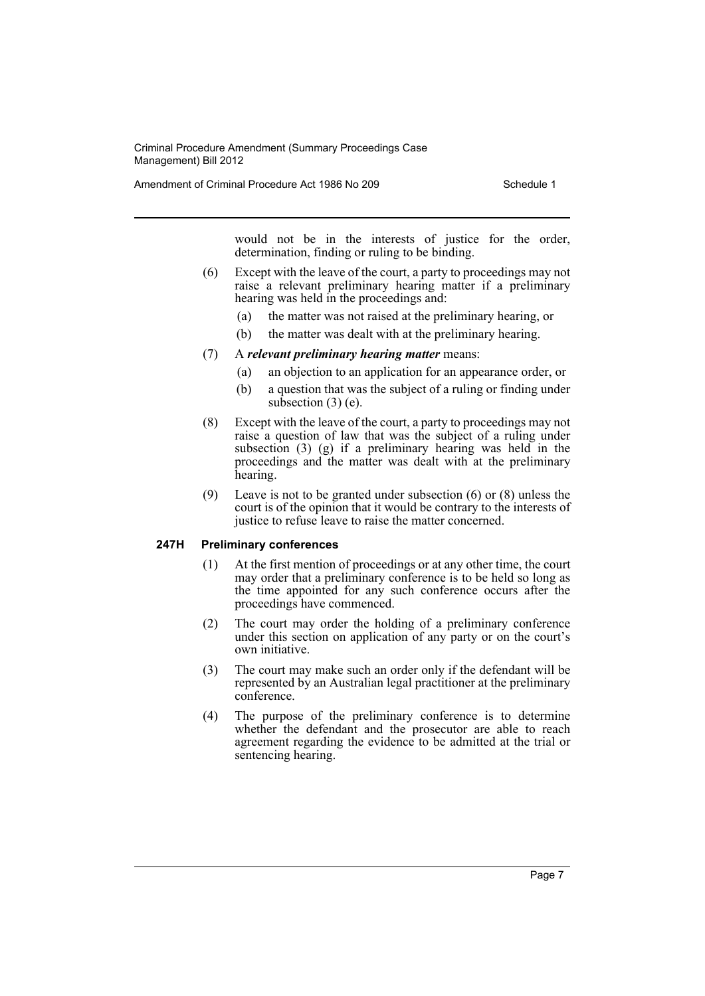Amendment of Criminal Procedure Act 1986 No 209 Schedule 1

would not be in the interests of justice for the order, determination, finding or ruling to be binding.

- (6) Except with the leave of the court, a party to proceedings may not raise a relevant preliminary hearing matter if a preliminary hearing was held in the proceedings and:
	- (a) the matter was not raised at the preliminary hearing, or
	- (b) the matter was dealt with at the preliminary hearing.
- (7) A *relevant preliminary hearing matter* means:
	- (a) an objection to an application for an appearance order, or
	- (b) a question that was the subject of a ruling or finding under subsection  $(3)$  (e).
- (8) Except with the leave of the court, a party to proceedings may not raise a question of law that was the subject of a ruling under subsection  $(3)$   $(g)$  if a preliminary hearing was held in the proceedings and the matter was dealt with at the preliminary hearing.
- (9) Leave is not to be granted under subsection (6) or (8) unless the court is of the opinion that it would be contrary to the interests of justice to refuse leave to raise the matter concerned.

#### **247H Preliminary conferences**

- (1) At the first mention of proceedings or at any other time, the court may order that a preliminary conference is to be held so long as the time appointed for any such conference occurs after the proceedings have commenced.
- (2) The court may order the holding of a preliminary conference under this section on application of any party or on the court's own initiative.
- (3) The court may make such an order only if the defendant will be represented by an Australian legal practitioner at the preliminary conference.
- (4) The purpose of the preliminary conference is to determine whether the defendant and the prosecutor are able to reach agreement regarding the evidence to be admitted at the trial or sentencing hearing.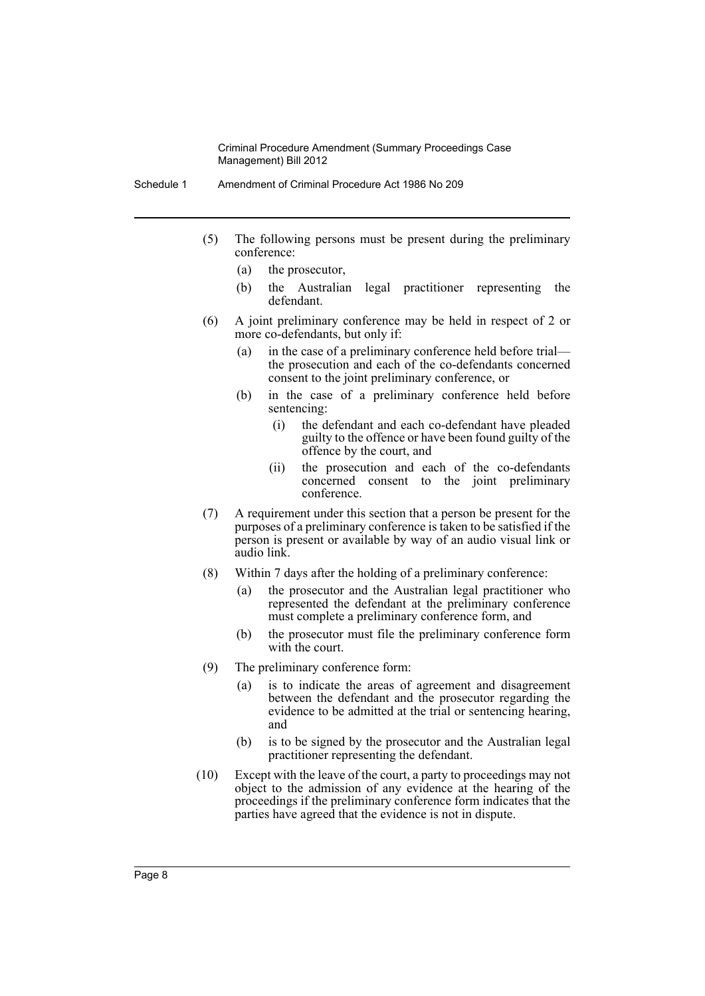- Schedule 1 Amendment of Criminal Procedure Act 1986 No 209
	- (5) The following persons must be present during the preliminary conference:
		- (a) the prosecutor,
		- (b) the Australian legal practitioner representing the defendant.
	- (6) A joint preliminary conference may be held in respect of 2 or more co-defendants, but only if:
		- (a) in the case of a preliminary conference held before trial the prosecution and each of the co-defendants concerned consent to the joint preliminary conference, or
		- (b) in the case of a preliminary conference held before sentencing:
			- (i) the defendant and each co-defendant have pleaded guilty to the offence or have been found guilty of the offence by the court, and
			- (ii) the prosecution and each of the co-defendants concerned consent to the joint preliminary conference.
	- (7) A requirement under this section that a person be present for the purposes of a preliminary conference is taken to be satisfied if the person is present or available by way of an audio visual link or audio link.
	- (8) Within 7 days after the holding of a preliminary conference:
		- (a) the prosecutor and the Australian legal practitioner who represented the defendant at the preliminary conference must complete a preliminary conference form, and
		- (b) the prosecutor must file the preliminary conference form with the court.
	- (9) The preliminary conference form:
		- (a) is to indicate the areas of agreement and disagreement between the defendant and the prosecutor regarding the evidence to be admitted at the trial or sentencing hearing, and
		- (b) is to be signed by the prosecutor and the Australian legal practitioner representing the defendant.
	- (10) Except with the leave of the court, a party to proceedings may not object to the admission of any evidence at the hearing of the proceedings if the preliminary conference form indicates that the parties have agreed that the evidence is not in dispute.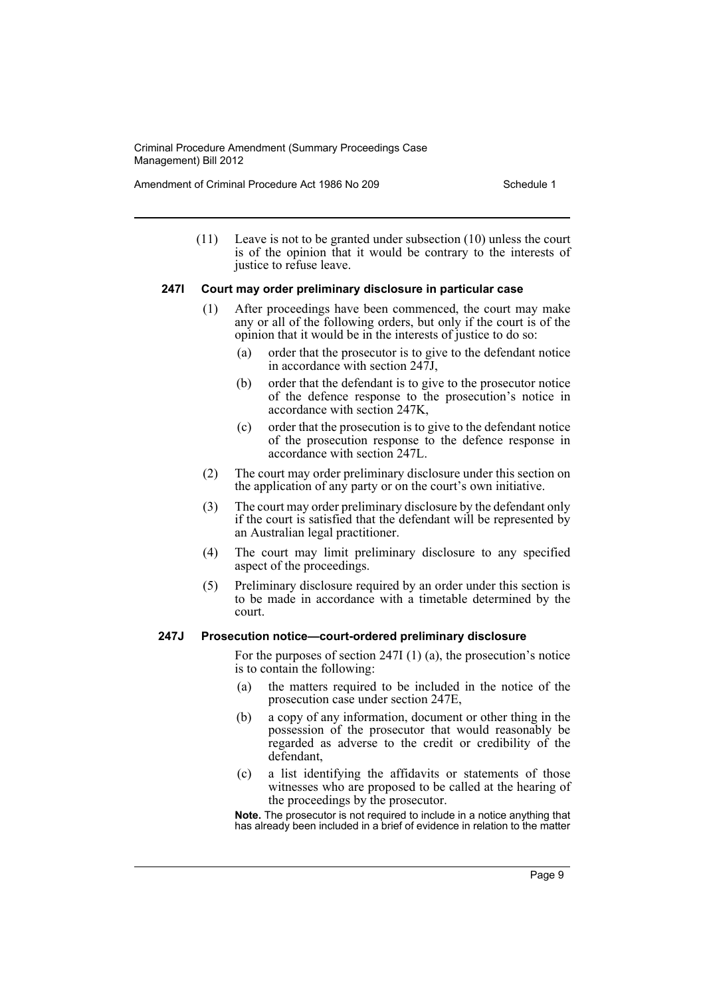Amendment of Criminal Procedure Act 1986 No 209 Schedule 1

(11) Leave is not to be granted under subsection (10) unless the court is of the opinion that it would be contrary to the interests of justice to refuse leave.

#### **247I Court may order preliminary disclosure in particular case**

- (1) After proceedings have been commenced, the court may make any or all of the following orders, but only if the court is of the opinion that it would be in the interests of justice to do so:
	- (a) order that the prosecutor is to give to the defendant notice in accordance with section 247J,
	- (b) order that the defendant is to give to the prosecutor notice of the defence response to the prosecution's notice in accordance with section 247K,
	- (c) order that the prosecution is to give to the defendant notice of the prosecution response to the defence response in accordance with section 247L.
- (2) The court may order preliminary disclosure under this section on the application of any party or on the court's own initiative.
- (3) The court may order preliminary disclosure by the defendant only if the court is satisfied that the defendant will be represented by an Australian legal practitioner.
- (4) The court may limit preliminary disclosure to any specified aspect of the proceedings.
- (5) Preliminary disclosure required by an order under this section is to be made in accordance with a timetable determined by the court.

## **247J Prosecution notice—court-ordered preliminary disclosure**

For the purposes of section 247I (1) (a), the prosecution's notice is to contain the following:

- (a) the matters required to be included in the notice of the prosecution case under section 247E,
- (b) a copy of any information, document or other thing in the possession of the prosecutor that would reasonably be regarded as adverse to the credit or credibility of the defendant,
- (c) a list identifying the affidavits or statements of those witnesses who are proposed to be called at the hearing of the proceedings by the prosecutor.

**Note.** The prosecutor is not required to include in a notice anything that has already been included in a brief of evidence in relation to the matter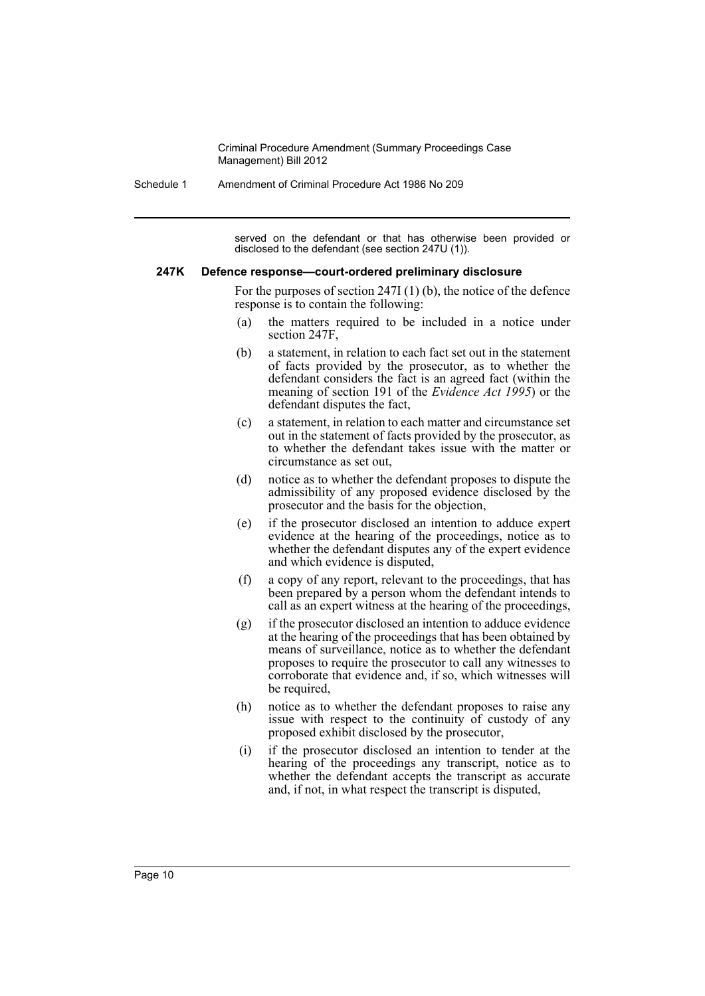Schedule 1 Amendment of Criminal Procedure Act 1986 No 209

served on the defendant or that has otherwise been provided or disclosed to the defendant (see section 247U (1)).

#### **247K Defence response—court-ordered preliminary disclosure**

For the purposes of section 247I (1) (b), the notice of the defence response is to contain the following:

- (a) the matters required to be included in a notice under section 247F,
- (b) a statement, in relation to each fact set out in the statement of facts provided by the prosecutor, as to whether the defendant considers the fact is an agreed fact (within the meaning of section 191 of the *Evidence Act 1995*) or the defendant disputes the fact,
- (c) a statement, in relation to each matter and circumstance set out in the statement of facts provided by the prosecutor, as to whether the defendant takes issue with the matter or circumstance as set out,
- (d) notice as to whether the defendant proposes to dispute the admissibility of any proposed evidence disclosed by the prosecutor and the basis for the objection,
- (e) if the prosecutor disclosed an intention to adduce expert evidence at the hearing of the proceedings, notice as to whether the defendant disputes any of the expert evidence and which evidence is disputed,
- (f) a copy of any report, relevant to the proceedings, that has been prepared by a person whom the defendant intends to call as an expert witness at the hearing of the proceedings,
- (g) if the prosecutor disclosed an intention to adduce evidence at the hearing of the proceedings that has been obtained by means of surveillance, notice as to whether the defendant proposes to require the prosecutor to call any witnesses to corroborate that evidence and, if so, which witnesses will be required,
- (h) notice as to whether the defendant proposes to raise any issue with respect to the continuity of custody of any proposed exhibit disclosed by the prosecutor,
- (i) if the prosecutor disclosed an intention to tender at the hearing of the proceedings any transcript, notice as to whether the defendant accepts the transcript as accurate and, if not, in what respect the transcript is disputed,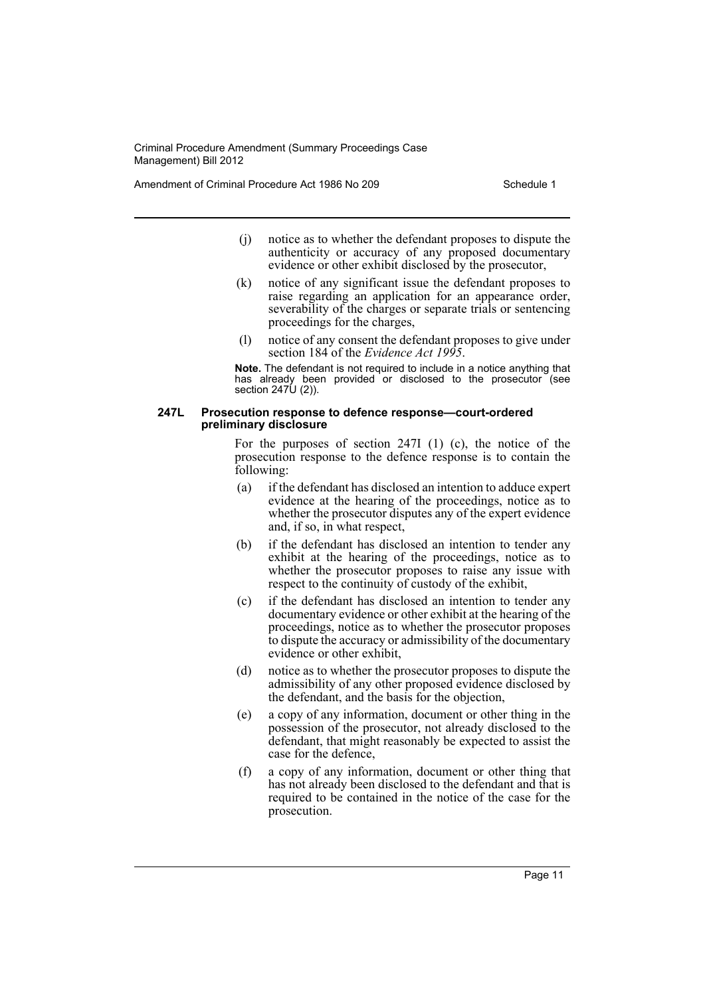Amendment of Criminal Procedure Act 1986 No 209 Schedule 1

- (j) notice as to whether the defendant proposes to dispute the authenticity or accuracy of any proposed documentary evidence or other exhibit disclosed by the prosecutor,
- (k) notice of any significant issue the defendant proposes to raise regarding an application for an appearance order, severability of the charges or separate trials or sentencing proceedings for the charges,
- (l) notice of any consent the defendant proposes to give under section 184 of the *Evidence Act 1995*.

**Note.** The defendant is not required to include in a notice anything that has already been provided or disclosed to the prosecutor (see section 247U (2)).

#### **247L Prosecution response to defence response—court-ordered preliminary disclosure**

For the purposes of section 247I (1) (c), the notice of the prosecution response to the defence response is to contain the following:

- (a) if the defendant has disclosed an intention to adduce expert evidence at the hearing of the proceedings, notice as to whether the prosecutor disputes any of the expert evidence and, if so, in what respect,
- (b) if the defendant has disclosed an intention to tender any exhibit at the hearing of the proceedings, notice as to whether the prosecutor proposes to raise any issue with respect to the continuity of custody of the exhibit,
- (c) if the defendant has disclosed an intention to tender any documentary evidence or other exhibit at the hearing of the proceedings, notice as to whether the prosecutor proposes to dispute the accuracy or admissibility of the documentary evidence or other exhibit,
- (d) notice as to whether the prosecutor proposes to dispute the admissibility of any other proposed evidence disclosed by the defendant, and the basis for the objection,
- (e) a copy of any information, document or other thing in the possession of the prosecutor, not already disclosed to the defendant, that might reasonably be expected to assist the case for the defence,
- (f) a copy of any information, document or other thing that has not already been disclosed to the defendant and that is required to be contained in the notice of the case for the prosecution.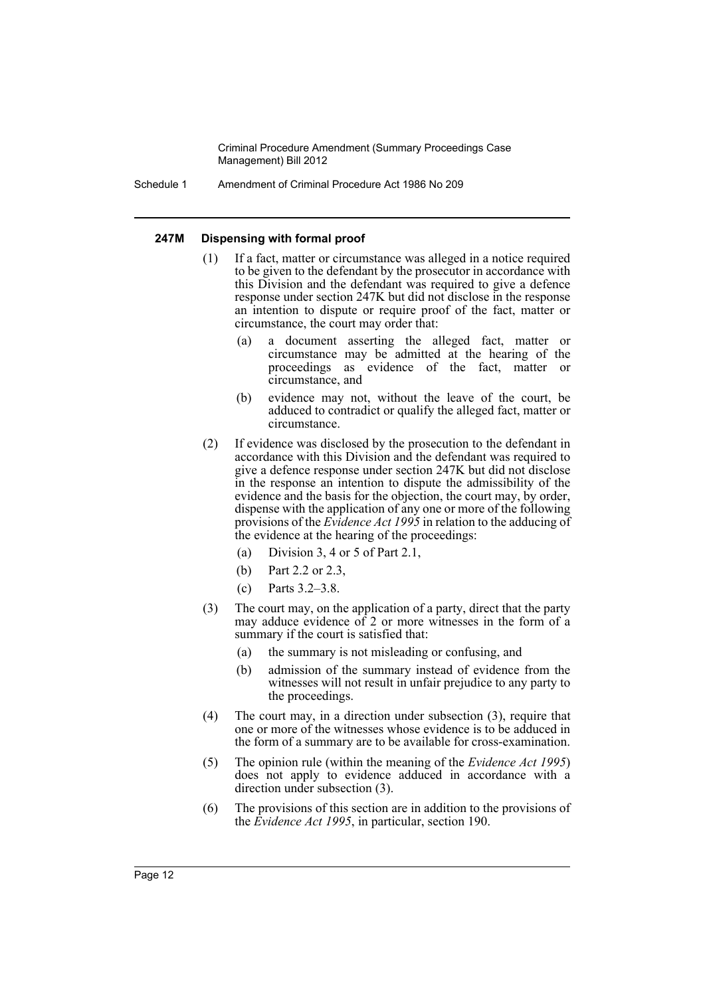Schedule 1 Amendment of Criminal Procedure Act 1986 No 209

#### **247M Dispensing with formal proof**

- (1) If a fact, matter or circumstance was alleged in a notice required to be given to the defendant by the prosecutor in accordance with this Division and the defendant was required to give a defence response under section 247K but did not disclose in the response an intention to dispute or require proof of the fact, matter or circumstance, the court may order that:
	- (a) a document asserting the alleged fact, matter or circumstance may be admitted at the hearing of the proceedings as evidence of the fact, matter or circumstance, and
	- (b) evidence may not, without the leave of the court, be adduced to contradict or qualify the alleged fact, matter or circumstance.
- (2) If evidence was disclosed by the prosecution to the defendant in accordance with this Division and the defendant was required to give a defence response under section 247K but did not disclose in the response an intention to dispute the admissibility of the evidence and the basis for the objection, the court may, by order, dispense with the application of any one or more of the following provisions of the *Evidence Act 1995* in relation to the adducing of the evidence at the hearing of the proceedings:
	- (a) Division 3, 4 or 5 of Part 2.1,
	- (b) Part 2.2 or 2.3,
	- (c) Parts 3.2–3.8.
- (3) The court may, on the application of a party, direct that the party may adduce evidence of 2 or more witnesses in the form of a summary if the court is satisfied that:
	- (a) the summary is not misleading or confusing, and
	- (b) admission of the summary instead of evidence from the witnesses will not result in unfair prejudice to any party to the proceedings.
- (4) The court may, in a direction under subsection (3), require that one or more of the witnesses whose evidence is to be adduced in the form of a summary are to be available for cross-examination.
- (5) The opinion rule (within the meaning of the *Evidence Act 1995*) does not apply to evidence adduced in accordance with a direction under subsection (3).
- (6) The provisions of this section are in addition to the provisions of the *Evidence Act 1995*, in particular, section 190.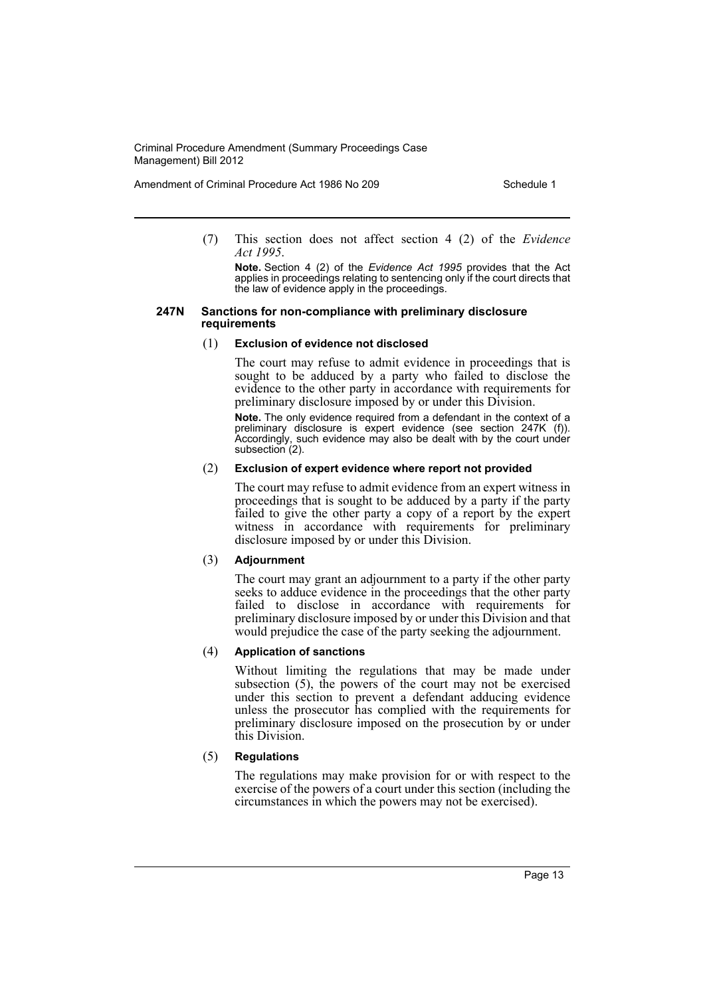Amendment of Criminal Procedure Act 1986 No 209 Schedule 1

(7) This section does not affect section 4 (2) of the *Evidence Act 1995*.

**Note.** Section 4 (2) of the *Evidence Act 1995* provides that the Act applies in proceedings relating to sentencing only if the court directs that the law of evidence apply in the proceedings.

#### **247N Sanctions for non-compliance with preliminary disclosure requirements**

#### (1) **Exclusion of evidence not disclosed**

The court may refuse to admit evidence in proceedings that is sought to be adduced by a party who failed to disclose the evidence to the other party in accordance with requirements for preliminary disclosure imposed by or under this Division.

**Note.** The only evidence required from a defendant in the context of a preliminary disclosure is expert evidence (see section 247K (f)). Accordingly, such evidence may also be dealt with by the court under subsection (2).

#### (2) **Exclusion of expert evidence where report not provided**

The court may refuse to admit evidence from an expert witness in proceedings that is sought to be adduced by a party if the party failed to give the other party a copy of a report by the expert witness in accordance with requirements for preliminary disclosure imposed by or under this Division.

#### (3) **Adjournment**

The court may grant an adjournment to a party if the other party seeks to adduce evidence in the proceedings that the other party failed to disclose in accordance with requirements for preliminary disclosure imposed by or under this Division and that would prejudice the case of the party seeking the adjournment.

#### (4) **Application of sanctions**

Without limiting the regulations that may be made under subsection (5), the powers of the court may not be exercised under this section to prevent a defendant adducing evidence unless the prosecutor has complied with the requirements for preliminary disclosure imposed on the prosecution by or under this Division.

## (5) **Regulations**

The regulations may make provision for or with respect to the exercise of the powers of a court under this section (including the circumstances in which the powers may not be exercised).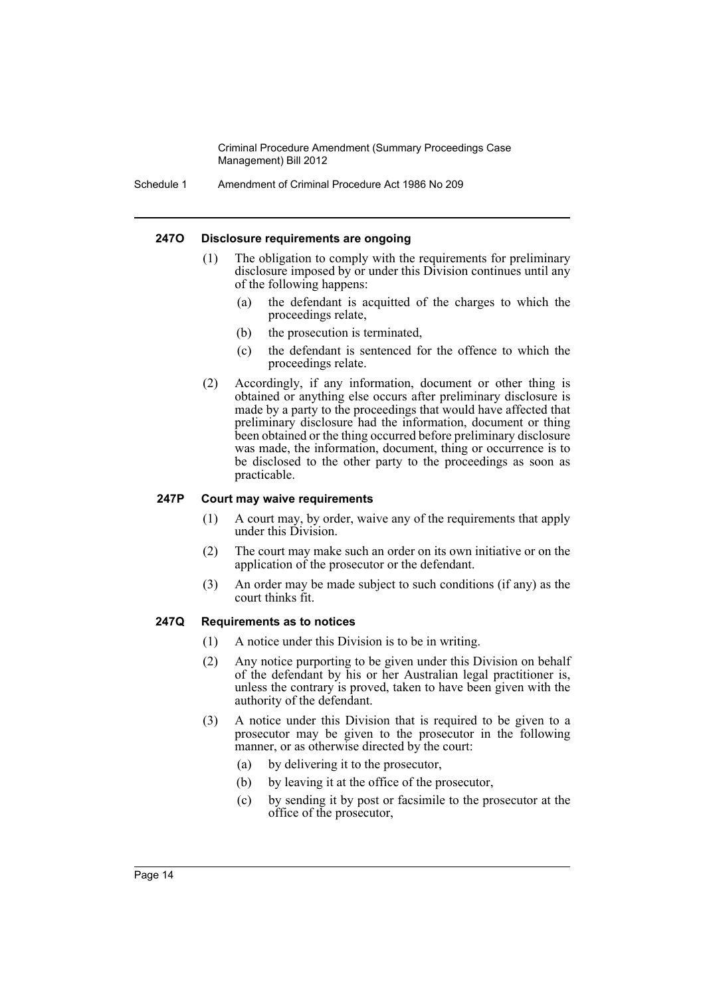Schedule 1 Amendment of Criminal Procedure Act 1986 No 209

#### **247O Disclosure requirements are ongoing**

- (1) The obligation to comply with the requirements for preliminary disclosure imposed by or under this Division continues until any of the following happens:
	- (a) the defendant is acquitted of the charges to which the proceedings relate,
	- (b) the prosecution is terminated,
	- (c) the defendant is sentenced for the offence to which the proceedings relate.
- (2) Accordingly, if any information, document or other thing is obtained or anything else occurs after preliminary disclosure is made by a party to the proceedings that would have affected that preliminary disclosure had the information, document or thing been obtained or the thing occurred before preliminary disclosure was made, the information, document, thing or occurrence is to be disclosed to the other party to the proceedings as soon as practicable.

#### **247P Court may waive requirements**

- (1) A court may, by order, waive any of the requirements that apply under this Division.
- (2) The court may make such an order on its own initiative or on the application of the prosecutor or the defendant.
- (3) An order may be made subject to such conditions (if any) as the court thinks fit.

#### **247Q Requirements as to notices**

- (1) A notice under this Division is to be in writing.
- (2) Any notice purporting to be given under this Division on behalf of the defendant by his or her Australian legal practitioner is, unless the contrary is proved, taken to have been given with the authority of the defendant.
- (3) A notice under this Division that is required to be given to a prosecutor may be given to the prosecutor in the following manner, or as otherwise directed by the court:
	- (a) by delivering it to the prosecutor,
	- (b) by leaving it at the office of the prosecutor,
	- (c) by sending it by post or facsimile to the prosecutor at the office of the prosecutor,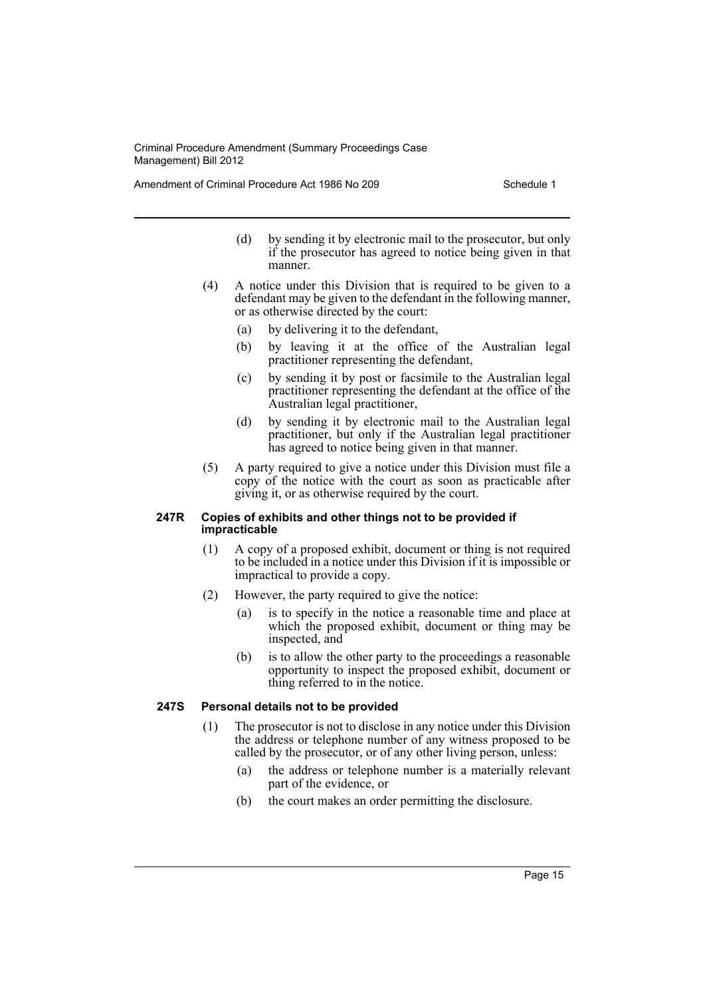Amendment of Criminal Procedure Act 1986 No 209 Schedule 1

- (d) by sending it by electronic mail to the prosecutor, but only if the prosecutor has agreed to notice being given in that manner.
- (4) A notice under this Division that is required to be given to a defendant may be given to the defendant in the following manner, or as otherwise directed by the court:
	- (a) by delivering it to the defendant,
	- (b) by leaving it at the office of the Australian legal practitioner representing the defendant,
	- (c) by sending it by post or facsimile to the Australian legal practitioner representing the defendant at the office of the Australian legal practitioner,
	- (d) by sending it by electronic mail to the Australian legal practitioner, but only if the Australian legal practitioner has agreed to notice being given in that manner.
- (5) A party required to give a notice under this Division must file a copy of the notice with the court as soon as practicable after giving it, or as otherwise required by the court.

#### **247R Copies of exhibits and other things not to be provided if impracticable**

- (1) A copy of a proposed exhibit, document or thing is not required to be included in a notice under this Division if it is impossible or impractical to provide a copy.
- (2) However, the party required to give the notice:
	- (a) is to specify in the notice a reasonable time and place at which the proposed exhibit, document or thing may be inspected, and
	- (b) is to allow the other party to the proceedings a reasonable opportunity to inspect the proposed exhibit, document or thing referred to in the notice.

## **247S Personal details not to be provided**

- (1) The prosecutor is not to disclose in any notice under this Division the address or telephone number of any witness proposed to be called by the prosecutor, or of any other living person, unless:
	- (a) the address or telephone number is a materially relevant part of the evidence, or
	- (b) the court makes an order permitting the disclosure.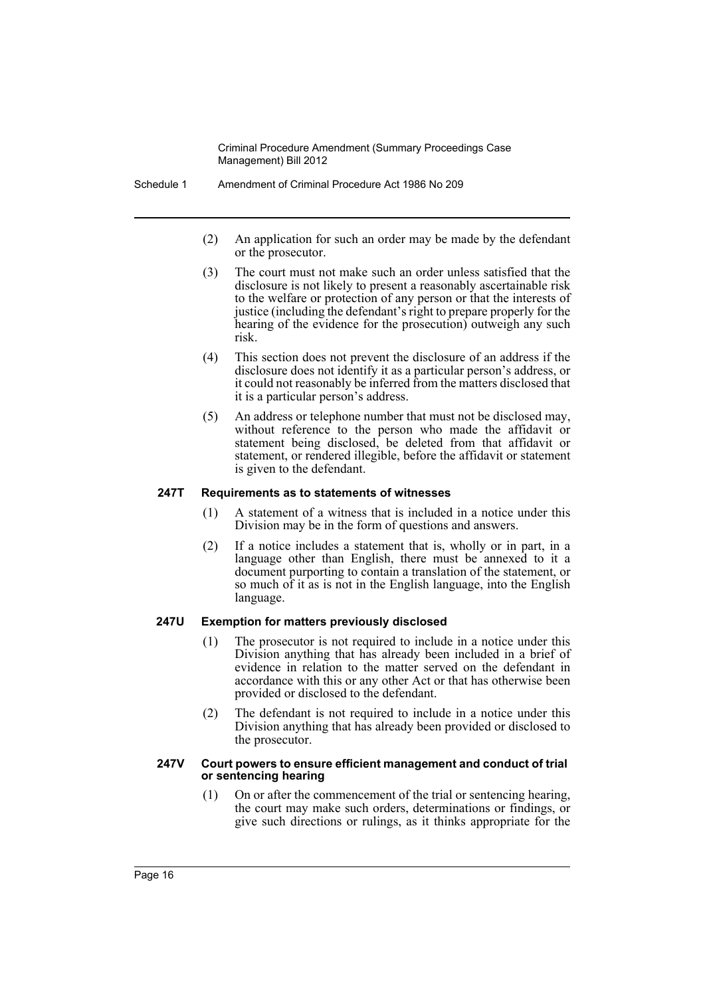- Schedule 1 Amendment of Criminal Procedure Act 1986 No 209
	- (2) An application for such an order may be made by the defendant or the prosecutor.
	- (3) The court must not make such an order unless satisfied that the disclosure is not likely to present a reasonably ascertainable risk to the welfare or protection of any person or that the interests of justice (including the defendant's right to prepare properly for the hearing of the evidence for the prosecution) outweigh any such risk.
	- (4) This section does not prevent the disclosure of an address if the disclosure does not identify it as a particular person's address, or it could not reasonably be inferred from the matters disclosed that it is a particular person's address.
	- (5) An address or telephone number that must not be disclosed may, without reference to the person who made the affidavit or statement being disclosed, be deleted from that affidavit or statement, or rendered illegible, before the affidavit or statement is given to the defendant.

#### **247T Requirements as to statements of witnesses**

- (1) A statement of a witness that is included in a notice under this Division may be in the form of questions and answers.
- (2) If a notice includes a statement that is, wholly or in part, in a language other than English, there must be annexed to it a document purporting to contain a translation of the statement, or so much of it as is not in the English language, into the English language.

#### **247U Exemption for matters previously disclosed**

- (1) The prosecutor is not required to include in a notice under this Division anything that has already been included in a brief of evidence in relation to the matter served on the defendant in accordance with this or any other Act or that has otherwise been provided or disclosed to the defendant.
- (2) The defendant is not required to include in a notice under this Division anything that has already been provided or disclosed to the prosecutor.

#### **247V Court powers to ensure efficient management and conduct of trial or sentencing hearing**

(1) On or after the commencement of the trial or sentencing hearing, the court may make such orders, determinations or findings, or give such directions or rulings, as it thinks appropriate for the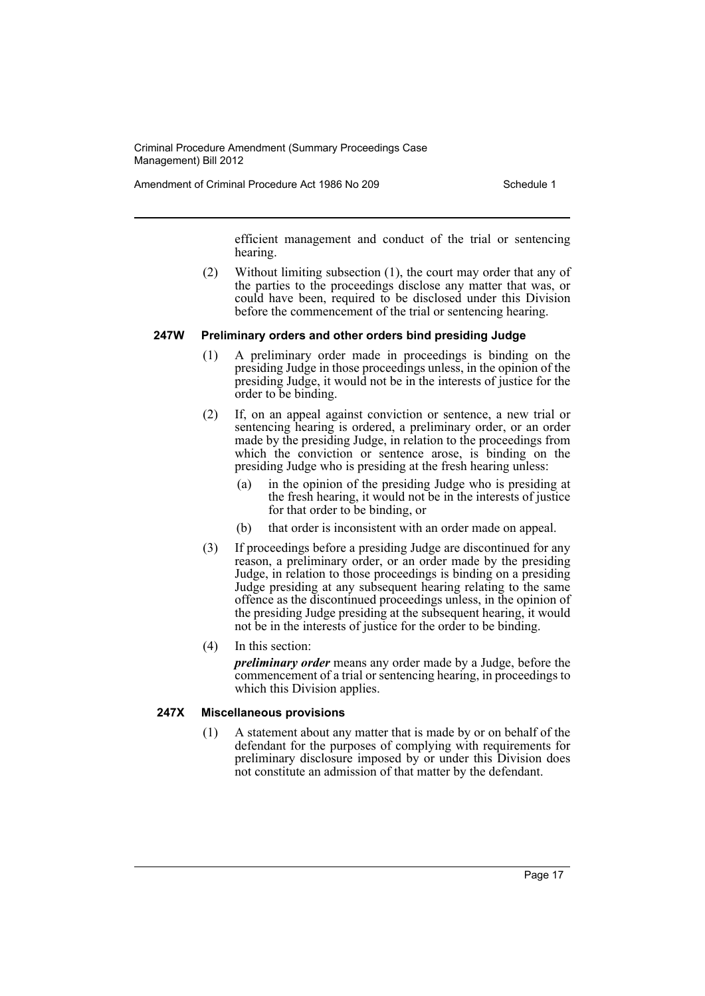Amendment of Criminal Procedure Act 1986 No 209 Schedule 1

efficient management and conduct of the trial or sentencing hearing.

(2) Without limiting subsection (1), the court may order that any of the parties to the proceedings disclose any matter that was, or could have been, required to be disclosed under this Division before the commencement of the trial or sentencing hearing.

#### **247W Preliminary orders and other orders bind presiding Judge**

- (1) A preliminary order made in proceedings is binding on the presiding Judge in those proceedings unless, in the opinion of the presiding Judge, it would not be in the interests of justice for the order to be binding.
- (2) If, on an appeal against conviction or sentence, a new trial or sentencing hearing is ordered, a preliminary order, or an order made by the presiding Judge, in relation to the proceedings from which the conviction or sentence arose, is binding on the presiding Judge who is presiding at the fresh hearing unless:
	- (a) in the opinion of the presiding Judge who is presiding at the fresh hearing, it would not be in the interests of justice for that order to be binding, or
	- (b) that order is inconsistent with an order made on appeal.
- (3) If proceedings before a presiding Judge are discontinued for any reason, a preliminary order, or an order made by the presiding Judge, in relation to those proceedings is binding on a presiding Judge presiding at any subsequent hearing relating to the same offence as the discontinued proceedings unless, in the opinion of the presiding Judge presiding at the subsequent hearing, it would not be in the interests of justice for the order to be binding.
- (4) In this section:

*preliminary order* means any order made by a Judge, before the commencement of a trial or sentencing hearing, in proceedings to which this Division applies.

#### **247X Miscellaneous provisions**

(1) A statement about any matter that is made by or on behalf of the defendant for the purposes of complying with requirements for preliminary disclosure imposed by or under this Division does not constitute an admission of that matter by the defendant.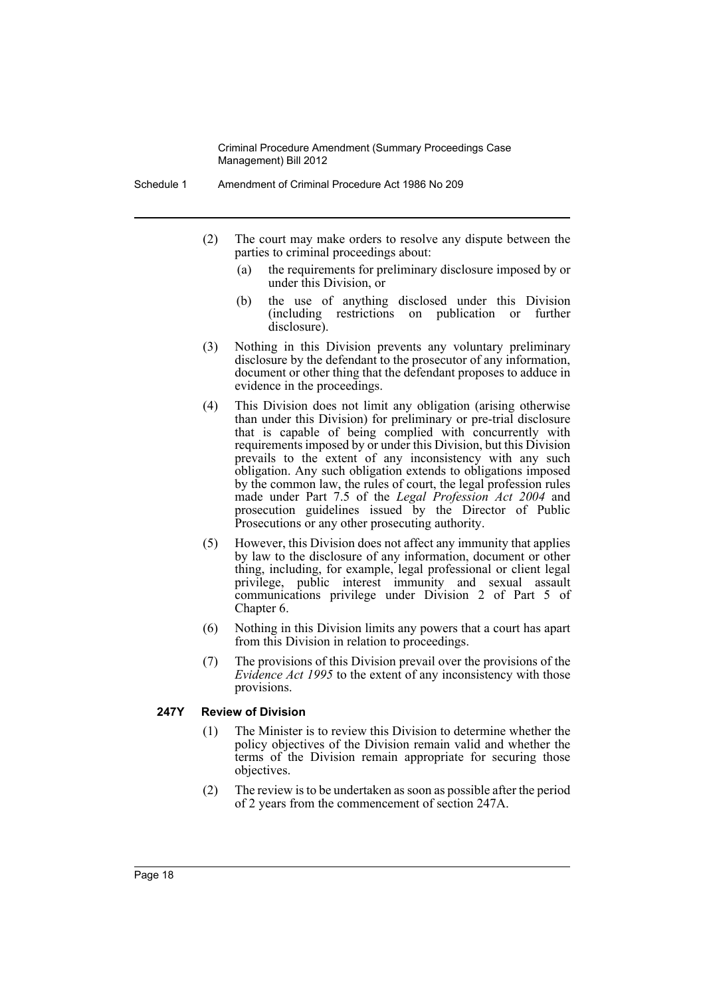- Schedule 1 Amendment of Criminal Procedure Act 1986 No 209
	- (2) The court may make orders to resolve any dispute between the parties to criminal proceedings about:
		- (a) the requirements for preliminary disclosure imposed by or under this Division, or
		- (b) the use of anything disclosed under this Division (including restrictions on publication or further disclosure).
	- (3) Nothing in this Division prevents any voluntary preliminary disclosure by the defendant to the prosecutor of any information, document or other thing that the defendant proposes to adduce in evidence in the proceedings.
	- (4) This Division does not limit any obligation (arising otherwise than under this Division) for preliminary or pre-trial disclosure that is capable of being complied with concurrently with requirements imposed by or under this Division, but this Division prevails to the extent of any inconsistency with any such obligation. Any such obligation extends to obligations imposed by the common law, the rules of court, the legal profession rules made under Part 7.5 of the *Legal Profession Act 2004* and prosecution guidelines issued by the Director of Public Prosecutions or any other prosecuting authority.
	- (5) However, this Division does not affect any immunity that applies by law to the disclosure of any information, document or other thing, including, for example, legal professional or client legal privilege, public interest immunity and sexual assault communications privilege under Division 2 of Part 5 of Chapter 6.
	- (6) Nothing in this Division limits any powers that a court has apart from this Division in relation to proceedings.
	- (7) The provisions of this Division prevail over the provisions of the *Evidence Act 1995* to the extent of any inconsistency with those provisions.

#### **247Y Review of Division**

- (1) The Minister is to review this Division to determine whether the policy objectives of the Division remain valid and whether the terms of the Division remain appropriate for securing those objectives.
- (2) The review is to be undertaken as soon as possible after the period of 2 years from the commencement of section 247A.